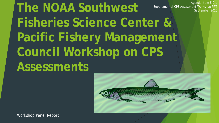**The NOAA Southwest Fisheries Science Center & Pacific Fishery Management Council Workshop on CPS Assessments** Agenda Item E.2.a Supplemental CPS Assessment Workshop PPT September 2016



Workshop Panel Report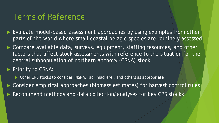## Terms of Reference

- ▶ Evaluate model-based assessment approaches by using examples from other parts of the world where small coastal pelagic species are routinely assessed
- ▶ Compare available data, surveys, equipment, staffing resources, and other factors that affect stock assessments with reference to the situation for the central subpopulation of northern anchovy (CSNA) stock

Priority to CSNA:

- ▶ Other CPS stocks to consider: NSNA, jack mackerel, and others as appropriate
- Consider empirical approaches (biomass estimates) for harvest control rules
- Recommend methods and data collection/analyses for key CPS stocks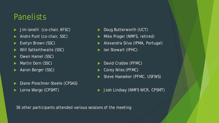## **Panelists**

- Jim Ianelli (co-chair, AFSC)
- André Punt (co-chair, SSC)
- Evelyn Brown (SSC)
- Will Satterthwaite (SSC)
- Owen Hamel (SSC)
- Martin Dorn (SSC)
- Aaron Berger (SSC)
- Diane Pleschner-Steele (CPSAS)
- Lorna Wargo (CPSMT)
- Doug Butterworth (UCT)
- Mike Prager (NMFS, retired)
- Alexandra Silva (IPMA, Portugal)
- Ian Stewart (IPHC)
- David Crabbe (PFMC)
- Corey Niles (PFMC)
- Steve Haeseker (PFMC, USFWS)
- Josh Lindsay (NMFS WCR, CPSMT)

36 other participants attended various sessions of the meeting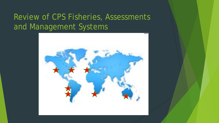# Review of CPS Fisheries, Assessments and Management Systems

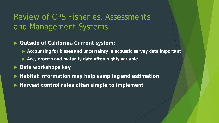# Review of CPS Fisheries, Assessments and Management Systems

#### **Outside of California Current system:**

- **Accounting for biases and uncertainty in acoustic survey data important**
- **Age, growth and maturity data often highly variable**
- ▶ Data workshops key
- **Habitat information may help sampling and estimation**
- **Harvest control rules often simple to implement**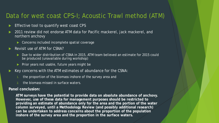#### Data for west coast CPS-I; Acoustic Trawl method (ATM)

- Effective tool to quantify west coast CPS
- 2011 review did not endorse ATM data for Pacific mackerel, jack mackerel, and northern anchovy
	- Concerns included incomplete spatial coverage
- Revisit use of ATM for CSNA?
	- Due to wider distribution of CSNA in 2015, ATM team believed an estimate for 2015 could be produced (unavailable during workshop)
	- $\blacktriangleright$  Prior years not usable, future years might be
- Key concerns with the ATM estimates of abundance for the CSNA:
	- the proportion of the biomass inshore of the survey area and
	- 2. the biomass missed in surface waters.

#### **Panel conclusion:**

**ATM surveys have the potential to provide data on absolute abundance of anchovy. However, use of these data for management purposes should be restricted to providing an estimate of abundance only for the area and the portion of the water column surveyed, until a Methodology Review (and possibly additional research) can be undertaken to address concerns about the proportion of the population inshore of the survey area and the proportion in the surface waters.**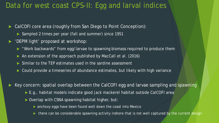### Data for west coast CPS-II: Egg and larval indices

- CalCOFI core area (roughly from San Diego to Point Conception):
	- Sampled 2 times per year (fall and summer) since 1951
- ▶ 'DEPM light' proposed at workshop:
	- "Work backwards" from egg/larvae to spawning biomass required to produce them
	- An extension of the approach published by MacCall et al. (2016)
	- Similar to the TEP estimates used in the sardine assessment
	- ▶ Could provide a timeseries of abundance estimates, but likely with high variance

Key concern: spatial overlap between the CalCOFI egg and larvae sampling and spawning

- ► E.g., habitat models indicate good jack mackerel habitat outside CalCOFI area
- Overlap with CSNA spawning habitat higher, but:
	- **anchovy eggs have been found well down the coast into Mexico**
	- there can be considerable spawning activity inshore that is not well captured by the current design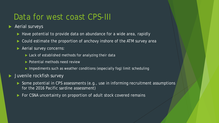## Data for west coast CPS-III

- Aerial surveys
	- Have potential to provide data on abundance for a wide area, rapidly
	- Could estimate the proportion of anchovy inshore of the ATM survey area
	- **Aerial survey concerns:** 
		- ► Lack of established methods for analyzing their data
		- **Potential methods need review**
		- Impediments such as weather conditions (especially fog) limit scheduling
- Juvenile rockfish survey
	- Some potential in CPS assessments (e.g., use in informing recruitment assumptions for the 2016 Pacific sardine assessment)
	- For CSNA uncertainty on proportion of adult stock covered remains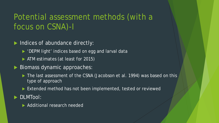# Potential assessment methods (with a focus on CSNA)-I

- Indices of abundance directly:
	- ▶ 'DEPM light' indices based on egg and larval data
	- ATM estimates (at least for 2015)
- Biomass dynamic approaches:
	- ▶ The last assessment of the CSNA (Jacobson et al. 1994) was based on this type of approach
	- Extended method has not been implemented, tested or reviewed
- DLMTool:
	- ▶ Additional research needed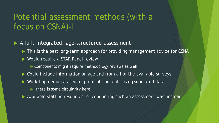# Potential assessment methods (with a focus on CSNA)-I

A full, integrated, age-structured assessment:

- ▶ This is the best long-term approach for providing management advice for CSNA
- ▶ Would require a STAR Panel review
	- ▶ Components might require methodology reviews as well
- ▶ Could include information on age and from all of the available surveys
- Workshop demonstrated a "proof-of-concept" using simulated data
	- $\blacktriangleright$  (there is some circularity here)
- Available staffing resources for conducting such an assessment was unclear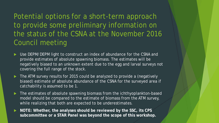Potential options for a short-term approach to provide some preliminary information on the status of the CSNA at the November 2016 Council meeting

- Use DEPM/DEPM light to construct an index of abundance for the CSNA and provide estimates of absolute spawning biomass. The estimates will be negatively biased to an unknown extent due to the egg and larval surveys not covering the full range of the stock.
- ▶ The ATM survey results for 2015 could be analyzed to provide a (negatively biased) estimate of absolute abundance of the CSNA for the surveyed area if catchability is assumed to be 1.
- ▶ The estimates of absolute spawning biomass from the ichthyoplankton-based model should be compared to the estimate of biomass from the ATM survey, while realizing that both are expected to be underestimates.
- **NOTE: Whether, the analyses should be reviewed by the SSC, its CPS subcommittee or a STAR Panel was beyond the scope of this workshop.**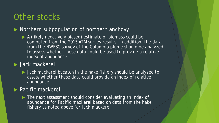### Other stocks

#### Northern subpopulation of northern anchovy

 A (likely negatively biased) estimate of biomass could be computed from the 2015 ATM survey results. In addition, the data from the NWFSC survey of the Columbia plume should be analyzed to assess whether these data could be used to provide a relative index of abundance.

#### **Jack mackerel**

 Jack mackerel bycatch in the hake fishery should be analyzed to assess whether these data could provide an index of relative abundance

#### **Pacific mackerel**

The next assessment should consider evaluating an index of abundance for Pacific mackerel based on data from the hake fishery as noted above for jack mackerel